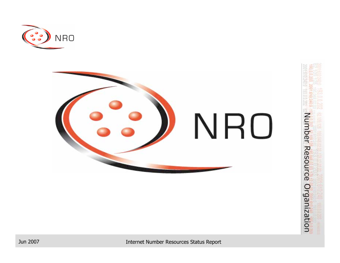



Number Resource Organization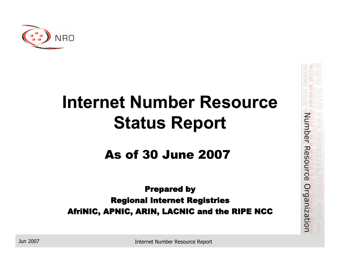

### **Internet Number Resource Internet Number Resource Status Report Status Report**

#### **As of 30 June 2007**

#### **Prepared by** Regional Internet Registries AfriNIC, APNIC, ARIN, LACNIC and the RIPE NCC

Number Resource Organization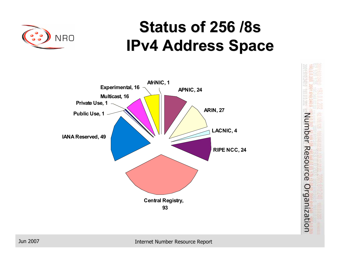

### **Status of 256 /8s IPv4 Address Space IPv4 Address Space**



Number Resource Organization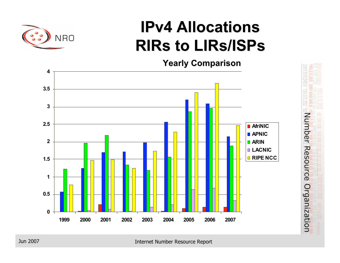

### **IPv4 Allocations IPv4 Allocations RIRs to LIRs/ISPs**

**Yearly Comparison Yearly Comparison**



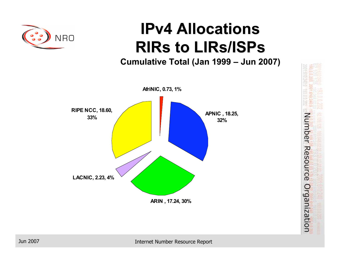

### **IPv4 Allocations IPv4 Allocations RIRs to LIRs/ISPs**

**Cumulative Total (Jan 1999 – Jun 2007)** 



Number Resource Organization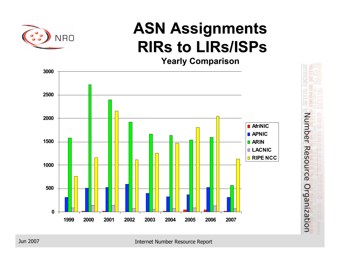

### **ASN Assignments ASN Assignments RIRs to LIRs/ISPs**

**Yearly Comparison Yearly Comparison**



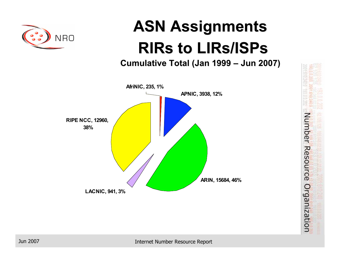

## **ASN Assignments ASN Assignments RIRs to LIRs/ISPs**

**Cumulative Total (Jan 1999 – Jun 2007)** 



Number Resource Organization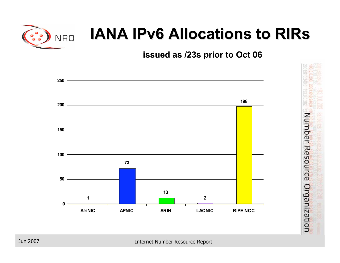

### **IANA IPv6 Allocations to RIRs**

**issued as /23s prior to Oct 06**



Number Resource Organization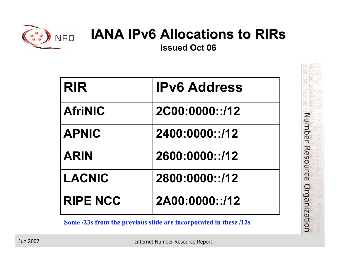

### **IANA IPv6 Allocations to RIRs**

**issued Oct 06 Oct 06**

| <b>RIR</b>      | <b>IPv6 Address</b> |
|-----------------|---------------------|
| <b>AfriNIC</b>  | 2C00:0000::/12      |
| <b>APNIC</b>    | 2400:0000::/12      |
| <b>ARIN</b>     | 2600:0000::/12      |
| <b>LACNIC</b>   | 2800:0000::/12      |
| <b>RIPE NCC</b> | 2A00:0000::/12      |

**Some /23s from the previous slide are incorporated in these /12s**

Number Resource Organization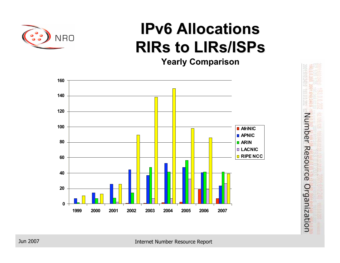

### **IPv6 Allocations IPv6 Allocations RIRs to LIRs/ISPs**

**Yearly Comparison Yearly Comparison**



Number Resource Organization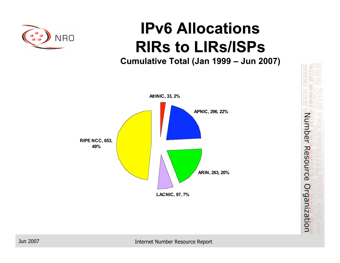

### **IPv6 Allocations IPv6 Allocations RIRs to LIRs/ISPs**

**Cumulative Total (Jan 1999 – Jun 2007)** 



Number Resource Organization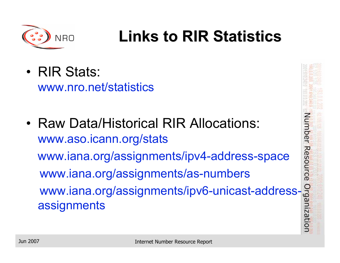

### **Links to RIR Statistics Links to RIR Statistics**

• RIR Stats:

www.nro.net/statistics

• Raw Data/Historical RIR Allocations: www.aso.icann.org/stats www.iana.org/assignments/ipv4-address-space www.iana.org/assignments/as-numbers www.iana.org/assignments/ipv6-unicast-addressassignments